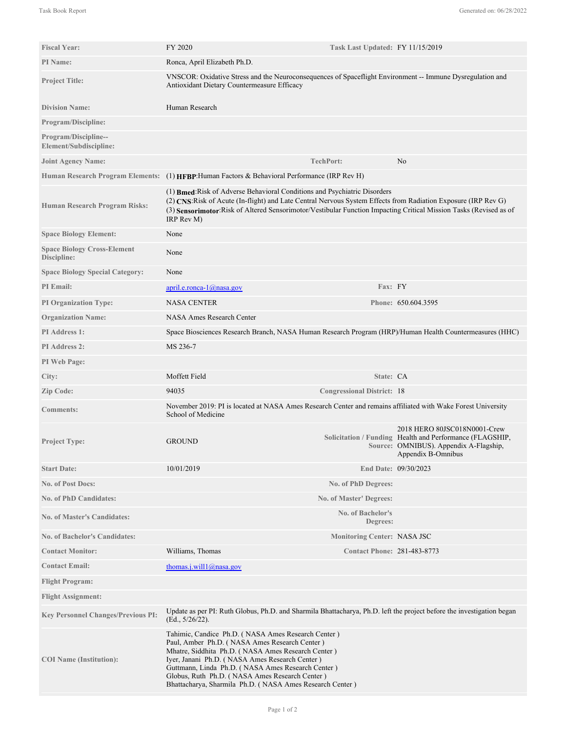| <b>Fiscal Year:</b>                                   | FY 2020                                                                                                                                                                                                                                                                                                                                                                        | Task Last Updated: FY 11/15/2019   |                                                                                                                                                          |
|-------------------------------------------------------|--------------------------------------------------------------------------------------------------------------------------------------------------------------------------------------------------------------------------------------------------------------------------------------------------------------------------------------------------------------------------------|------------------------------------|----------------------------------------------------------------------------------------------------------------------------------------------------------|
| <b>PI</b> Name:                                       | Ronca, April Elizabeth Ph.D.                                                                                                                                                                                                                                                                                                                                                   |                                    |                                                                                                                                                          |
| <b>Project Title:</b>                                 | VNSCOR: Oxidative Stress and the Neuroconsequences of Spaceflight Environment -- Immune Dysregulation and<br>Antioxidant Dietary Countermeasure Efficacy                                                                                                                                                                                                                       |                                    |                                                                                                                                                          |
| <b>Division Name:</b>                                 | Human Research                                                                                                                                                                                                                                                                                                                                                                 |                                    |                                                                                                                                                          |
| <b>Program/Discipline:</b>                            |                                                                                                                                                                                                                                                                                                                                                                                |                                    |                                                                                                                                                          |
| <b>Program/Discipline--</b><br>Element/Subdiscipline: |                                                                                                                                                                                                                                                                                                                                                                                |                                    |                                                                                                                                                          |
| <b>Joint Agency Name:</b>                             |                                                                                                                                                                                                                                                                                                                                                                                | <b>TechPort:</b>                   | No                                                                                                                                                       |
|                                                       | Human Research Program Elements: (1) HFBP: Human Factors & Behavioral Performance (IRP Rev H)                                                                                                                                                                                                                                                                                  |                                    |                                                                                                                                                          |
| <b>Human Research Program Risks:</b>                  | (1) Bmed: Risk of Adverse Behavioral Conditions and Psychiatric Disorders<br>(2) CNS: Risk of Acute (In-flight) and Late Central Nervous System Effects from Radiation Exposure (IRP Rev G)<br>(3) Sensorimotor:Risk of Altered Sensorimotor/Vestibular Function Impacting Critical Mission Tasks (Revised as of<br>IRP Rev M)                                                 |                                    |                                                                                                                                                          |
| <b>Space Biology Element:</b>                         | None                                                                                                                                                                                                                                                                                                                                                                           |                                    |                                                                                                                                                          |
| <b>Space Biology Cross-Element</b><br>Discipline:     | None                                                                                                                                                                                                                                                                                                                                                                           |                                    |                                                                                                                                                          |
| <b>Space Biology Special Category:</b>                | None                                                                                                                                                                                                                                                                                                                                                                           |                                    |                                                                                                                                                          |
| PI Email:                                             | $april.e. ronca-1@nasa.gov$                                                                                                                                                                                                                                                                                                                                                    | Fax: FY                            |                                                                                                                                                          |
| <b>PI Organization Type:</b>                          | <b>NASA CENTER</b>                                                                                                                                                                                                                                                                                                                                                             |                                    | Phone: 650.604.3595                                                                                                                                      |
| <b>Organization Name:</b>                             | <b>NASA Ames Research Center</b>                                                                                                                                                                                                                                                                                                                                               |                                    |                                                                                                                                                          |
| <b>PI</b> Address 1:                                  | Space Biosciences Research Branch, NASA Human Research Program (HRP)/Human Health Countermeasures (HHC)                                                                                                                                                                                                                                                                        |                                    |                                                                                                                                                          |
| <b>PI Address 2:</b>                                  | MS 236-7                                                                                                                                                                                                                                                                                                                                                                       |                                    |                                                                                                                                                          |
| PI Web Page:                                          |                                                                                                                                                                                                                                                                                                                                                                                |                                    |                                                                                                                                                          |
| City:                                                 | Moffett Field                                                                                                                                                                                                                                                                                                                                                                  | State: CA                          |                                                                                                                                                          |
| <b>Zip Code:</b>                                      | 94035                                                                                                                                                                                                                                                                                                                                                                          | <b>Congressional District: 18</b>  |                                                                                                                                                          |
| <b>Comments:</b>                                      | November 2019: PI is located at NASA Ames Research Center and remains affiliated with Wake Forest University<br>School of Medicine                                                                                                                                                                                                                                             |                                    |                                                                                                                                                          |
| <b>Project Type:</b>                                  | <b>GROUND</b>                                                                                                                                                                                                                                                                                                                                                                  |                                    | 2018 HERO 80JSC018N0001-Crew<br>Solicitation / Funding Health and Performance (FLAGSHIP,<br>Source: OMNIBUS). Appendix A-Flagship,<br>Appendix B-Omnibus |
| <b>Start Date:</b>                                    | 10/01/2019                                                                                                                                                                                                                                                                                                                                                                     |                                    | End Date: 09/30/2023                                                                                                                                     |
| <b>No. of Post Docs:</b>                              |                                                                                                                                                                                                                                                                                                                                                                                | No. of PhD Degrees:                |                                                                                                                                                          |
| <b>No. of PhD Candidates:</b>                         |                                                                                                                                                                                                                                                                                                                                                                                | No. of Master' Degrees:            |                                                                                                                                                          |
| <b>No. of Master's Candidates:</b>                    |                                                                                                                                                                                                                                                                                                                                                                                | No. of Bachelor's<br>Degrees:      |                                                                                                                                                          |
| <b>No. of Bachelor's Candidates:</b>                  |                                                                                                                                                                                                                                                                                                                                                                                | <b>Monitoring Center: NASA JSC</b> |                                                                                                                                                          |
| <b>Contact Monitor:</b>                               | Williams, Thomas                                                                                                                                                                                                                                                                                                                                                               | <b>Contact Phone: 281-483-8773</b> |                                                                                                                                                          |
| <b>Contact Email:</b>                                 | thomas.j.will1@nasa.gov                                                                                                                                                                                                                                                                                                                                                        |                                    |                                                                                                                                                          |
| <b>Flight Program:</b>                                |                                                                                                                                                                                                                                                                                                                                                                                |                                    |                                                                                                                                                          |
| <b>Flight Assignment:</b>                             |                                                                                                                                                                                                                                                                                                                                                                                |                                    |                                                                                                                                                          |
| <b>Key Personnel Changes/Previous PI:</b>             | Update as per PI: Ruth Globus, Ph.D. and Sharmila Bhattacharya, Ph.D. left the project before the investigation began<br>(Ed., 5/26/22).                                                                                                                                                                                                                                       |                                    |                                                                                                                                                          |
| <b>COI</b> Name (Institution):                        | Tahimic, Candice Ph.D. (NASA Ames Research Center)<br>Paul, Amber Ph.D. (NASA Ames Research Center)<br>Mhatre, Siddhita Ph.D. (NASA Ames Research Center)<br>Iyer, Janani Ph.D. (NASA Ames Research Center)<br>Guttmann, Linda Ph.D. (NASA Ames Research Center)<br>Globus, Ruth Ph.D. (NASA Ames Research Center)<br>Bhattacharya, Sharmila Ph.D. (NASA Ames Research Center) |                                    |                                                                                                                                                          |